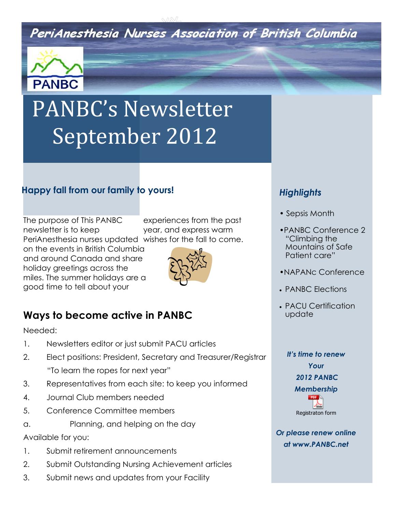# PeriAnesthesia Nurses Association of British Columbia



# PANBC's Newsletter September 2012

### **Happy fall from our family to yours!**

The purpose of This PANBC newsletter is to keep PeriAnesthesia nurses updated wishes for the fall to come.

on the events in British Columbia and around Canada and share holiday greetings across the miles. The summer holidays are a good time to tell about your



experiences from the past year, and express warm

# **Ways to become active in PANBC**

Needed:

- 1. Newsletters editor or just submit PACU articles
- 2. Elect positions: President, Secretary and Treasurer/Registrar "To learn the ropes for next year"
- 3. Representatives from each site: to keep you informed
- 4. Journal Club members needed
- 5. Conference Committee members
- a. Planning, and helping on the day

Available for you:

- 1. Submit retirement announcements
- 2. Submit Outstanding Nursing Achievement articles
- 3. Submit news and updates from your Facility

## **Highlights**

- Sepsis Month
- •PANBC Conference 2 "Climbing the Mountains of Safe Patient care"
- •NAPANc Conference
- PANBC Elections
- PACU Certification update

# *It's time to renew Your 2012 PANBC Membership*  Registraton form

*Or please renew online at www.PANBC.net*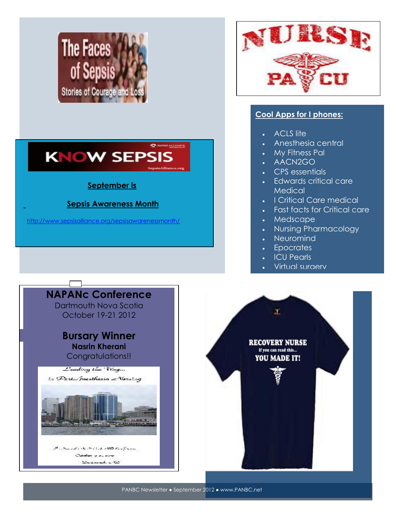



### **September is**

### **Sepsis Awareness Month**

<http://www.sepsisalliance.org/sepsisawarenessmonth/>



### **Cool Apps for I phones:**

- ACLS lite
- Anesthesia central
- My Fitness Pal
- AACN2GO
- CPS essentials
- Edwards critical care **Medical**
- I Critical Care medical
- Fast facts for Critical care
- Medscape
- Nursing Pharmacology
- **Neuromind**
- **Epocrates**
- ICU Pearls
- Virtual surgery





PANBC Newsletter ● September 2012 ● www.PANBC.net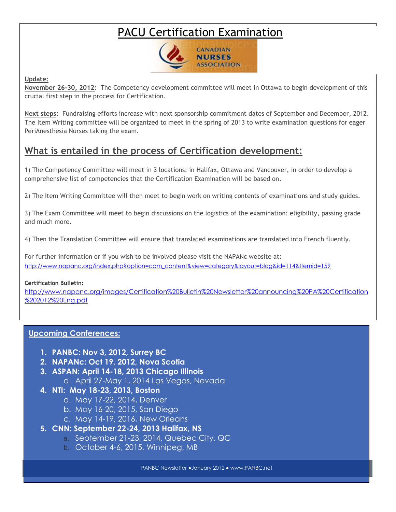# PACU [Certification Examination](http://www.napanc.org/education/103-certification-examination)



#### **Update:**

**November 26-30, 2012:** The Competency development committee will meet in Ottawa to begin development of this crucial first step in the process for Certification.

**Next steps:** Fundraising efforts increase with next sponsorship commitment dates of September and December, 2012. The Item Writing committee will be organized to meet in the spring of 2013 to write examination questions for eager PeriAnesthesia Nurses taking the exam.

## **What is entailed in the process of Certification development:**

1) The Competency Committee will meet in 3 locations: in Halifax, Ottawa and Vancouver, in order to develop a comprehensive list of competencies that the Certification Examination will be based on.

2) The Item Writing Committee will then meet to begin work on writing contents of examinations and study guides.

3) The Exam Committee will meet to begin discussions on the logistics of the examination: eligibility, passing grade and much more.

4) Then the Translation Committee will ensure that translated examinations are translated into French fluently.

<u>Obstructive Sleep Appendixe Sleep Appendixe</u> For further information or if you wish to be involved please visit the NAPANc website at: [http://www.napanc.org/index.php?option=com\\_content&view=category&layout=blog&id=114&Itemid=159](http://www.napanc.org/index.php?option=com_content&view=category&layout=blog&id=114&Itemid=159)

#### **Certification Bulletin:**

[http://www.napanc.org/images/Certification%20Bulletin%20Newsletter%20announcing%20PA%20Certification](http://www.napanc.org/images/Certification%20Bulletin%20Newsletter%20announcing%20PA%20Certification%202012%20Eng.pdf) [%202012%20Eng.pdf](http://www.napanc.org/images/Certification%20Bulletin%20Newsletter%20announcing%20PA%20Certification%202012%20Eng.pdf)

### **Upcoming Conferences:**

- **1. PANBC: Nov 3, 2012, Surrey BC**
- **2. NAPANc: Oct 19, 2012, Nova Scotia**
- **3. ASPAN: April 14-18, 2013 Chicago Illinois**
	- a. April 27-May 1, 2014 Las Vegas, Nevada
- **4. NTI: May 18-23, 2013, Boston**
	- a. May 17-22, 2014, Denver
	- b. May 16-20, 2015, San Diego
	- c. May 14-19, 2016, New Orleans
- **5. CNN: September 22-24, 2013 Halifax, NS**
	- a. September 21-23, 2014, Quebec City, QC
	- b. October 4-6, 2015, Winnipeg, MB

PANBC Newsletter ●January 2012 ● www.PANBC.net